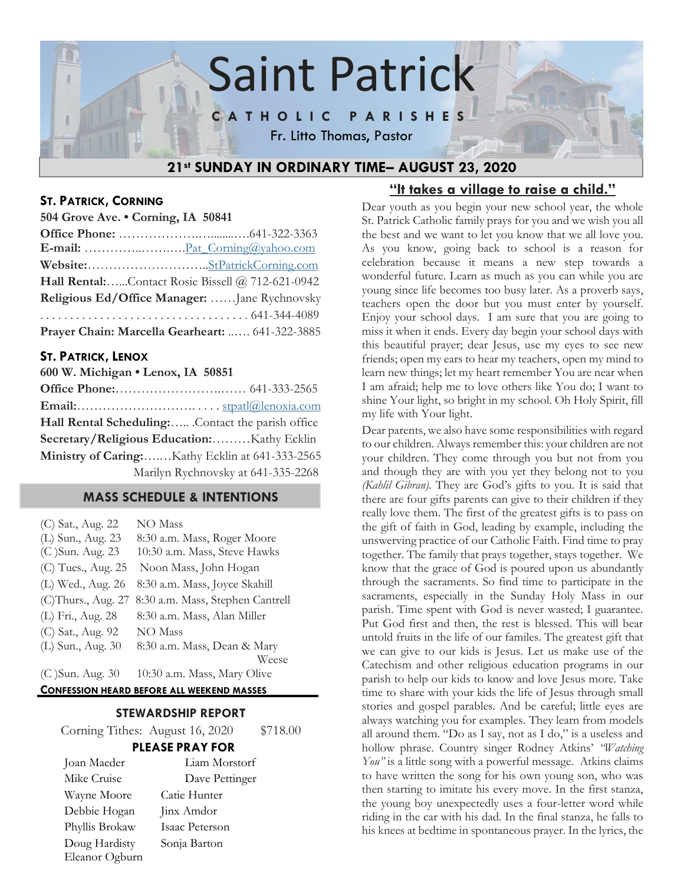

## **ST. PATRICK, CORNING**

**504 Grove Ave. • Corning, IA 50841**

|                                               | Hall Rental:Contact Rosie Bissell @ 712-621-0942 |
|-----------------------------------------------|--------------------------------------------------|
| Religious Ed/Office Manager:  Jane Rychnovsky |                                                  |
|                                               |                                                  |
|                                               | Prayer Chain: Marcella Gearheart:  641-322-3885  |

## **ST. PATRICK, LENOX**

| 600 W. Michigan . Lenox, IA 50851 |  |
|-----------------------------------|--|
|                                   |  |
|                                   |  |

**Email:**………………………. . . . . [stpatl@lenoxia.com](mailto:stpatl@lenoxia.com) **Hall Rental Scheduling:**….. .Contact the parish office **Secretary/Religious Education:**………Kathy Ecklin **Ministry of Caring:**….…Kathy Ecklin at 641-333-2565 Marilyn Rychnovsky at 641-335-2268

## **MASS SCHEDULE & INTENTIONS**

| (C) Sat., Aug. 22  | NO Mass                          |
|--------------------|----------------------------------|
| (L) Sun., Aug. 23  | 8:30 a.m. Mass, Roger Moore      |
| (C) Sun. Aug. 23   | 10:30 a.m. Mass, Steve Hawks     |
| (C) Tues., Aug. 25 | Noon Mass, John Hogan            |
| (L) Wed., Aug. 26  | 8:30 a.m. Mass, Joyce Skahill    |
| (C)Thurs., Aug. 27 | 8:30 a.m. Mass, Stephen Cantrell |
| (L) Fri., Aug. 28  | 8:30 a.m. Mass, Alan Miller      |
| (C) Sat., Aug. 92  | <b>NO</b> Mass                   |
| (L) Sun., Aug. 30  | 8:30 a.m. Mass, Dean & Mary      |
|                    | Weese                            |
| (C) Sun. Aug. 30   | 10:30 a.m. Mass, Mary Olive      |

#### **CONFESSION HEARD BEFORE ALL WEEKEND MASSES**

## **STEWARDSHIP REPORT**

Corning Tithes: August 16, 2020 \$718.00

#### **PLEASE PRAY FOR**

| Joan Maeder    | Liam Morstorf  |
|----------------|----------------|
| Mike Cruise    | Dave Pettinger |
| Wayne Moore    | Catie Hunter   |
| Debbie Hogan   | Jinx Amdor     |
| Phyllis Brokaw | Isaac Peterson |
| Doug Hardisty  | Sonja Barton   |
| Eleanor Ogburn |                |

## **"It takes a village to raise a child."**

Dear youth as you begin your new school year, the whole St. Patrick Catholic family prays for you and we wish you all the best and we want to let you know that we all love you. As you know, going back to school is a reason for celebration because it means a new step towards a wonderful future. Learn as much as you can while you are young since life becomes too busy later. As a proverb says, teachers open the door but you must enter by yourself. Enjoy your school days. I am sure that you are going to miss it when it ends. Every day begin your school days with this beautiful prayer; dear Jesus, use my eyes to see new friends; open my ears to hear my teachers, open my mind to learn new things; let my heart remember You are near when I am afraid; help me to love others like You do; I want to shine Your light, so bright in my school. Oh Holy Spirit, fill my life with Your light.

Dear parents, we also have some responsibilities with regard to our children. Always remember this: your children are not your children. They come through you but not from you and though they are with you yet they belong not to you *(Kahlil Gibran).* They are God's gifts to you. It is said that there are four gifts parents can give to their children if they really love them. The first of the greatest gifts is to pass on the gift of faith in God, leading by example, including the unswerving practice of our Catholic Faith. Find time to pray together. The family that prays together, stays together. We know that the grace of God is poured upon us abundantly through the sacraments. So find time to participate in the sacraments, especially in the Sunday Holy Mass in our parish. Time spent with God is never wasted; I guarantee. Put God first and then, the rest is blessed. This will bear untold fruits in the life of our familes. The greatest gift that we can give to our kids is Jesus. Let us make use of the Catechism and other religious education programs in our parish to help our kids to know and love Jesus more. Take time to share with your kids the life of Jesus through small stories and gospel parables. And be careful; little eyes are always watching you for examples. They learn from models all around them. "Do as I say, not as I do," is a useless and hollow phrase. Country singer Rodney Atkins' *"Watching You"* is a little song with a powerful message. Atkins claims to have written the song for his own young son, who was then starting to imitate his every move. In the first stanza, the young boy unexpectedly uses a four-letter word while riding in the car with his dad. In the final stanza, he falls to his knees at bedtime in spontaneous prayer. In the lyrics, the